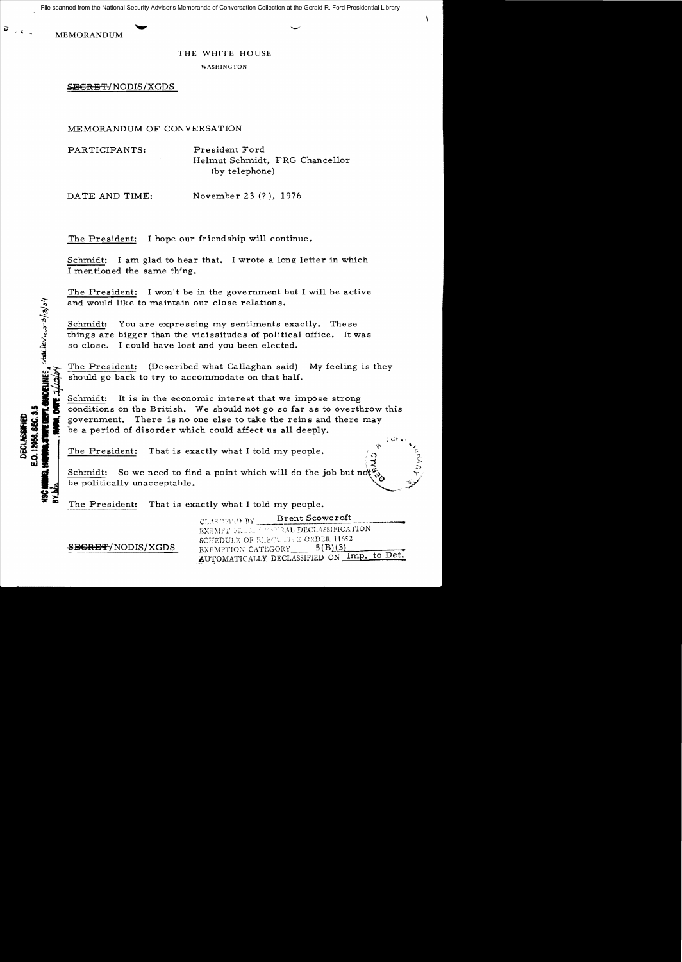File scanned from the National Security Adviser's Memoranda of Conversation Collection at the Gerald R. Ford Presidential Library

MEMORANDUM

 $\mathcal{L}(\mathcal{L})$  .

 $\approx$ 

 $\mathscr{E}_{i}$ 

 $\ddot{x}$ 

## THE WHITE HOUSE

WASHINGTON

SBGRET/NODIS/XGDS

MEMORANDUM OF CONVERSATION

PARTICIPANTS: President Ford Helmut Schmidt, FRG Chancellor (by telephone)

DATE AND TIME: November 23 (?), 1976

The President: I hope our friendship will continue.

Schmidt: I am glad to hear that. I wrote a long letter in which I mentioned the same thing.

The President: I won't be in the government but I will be active and would like to maintain our close relations.

Schmidt: You are expressing my sentiments exactly. These things are bigger than the vicissitudes of political office. It was

so close. I could have lost and you been elected.<br>
<del>Jumps</del><br>
The President: (Described what Callaghan said) My feeling is they should go back to try to accommodate on that half.

Schmidt: It is in the economic interest that we impose strong : Jet conditions on the British. We should not go so far as to overthrow this government. There is no one else to take the reins and there may be a period of disorder which could affect us all deeply. **Figure 12( I)** government. There is no one else to take the reins and there may be a period of disorder which could affect us all deeply. be a period of disorder which could affect us all deeply.<br>The President: That is exactly what I told my people.

That is exactly what I told my people.

 $\overline{\mathbf{u}}$  '  $\overline{\mathbf{x}}$  '  $\overline{\mathbf{v}}$ '  $\overline{\mathbf{v}}$ '  $\overline{\mathbf{v}}$ '  $\overline{\mathbf{v}}$ '  $\overline{\mathbf{v}}$ '  $\overline{\mathbf{v}}$ '  $\overline{\mathbf{v}}$ '  $\overline{\mathbf{v}}$ '  $\overline{\mathbf{v}}$ '  $\overline{\mathbf{v}}$ '  $\overline{\mathbf{v}}$ '  $\overline{\mathbf{v}}$ '  $\overline{\mathbf{v}}$ '  $\overline{\mathbf{v}}$ '  $\overline{\mathbf{v}}$ Schmidt: So we need to find a point which will do the job but not  $\frac{1}{2}$  be politically unacceptable.

The President: That is exactly what I told my people.

CLASSIFIED BY Brent Scowcroft EXEMPT FROM CENTRAL DECLASSIFICATION SCHEDULE OF EXECUTIVE ORDER 11652<br>EXEMPTION CATEGORY 5(B)(3) EXEMPTION CATEGORY 5(B)(3)<br>AUTOMATICALLY DECLASSIFIED ON Imp. to Det.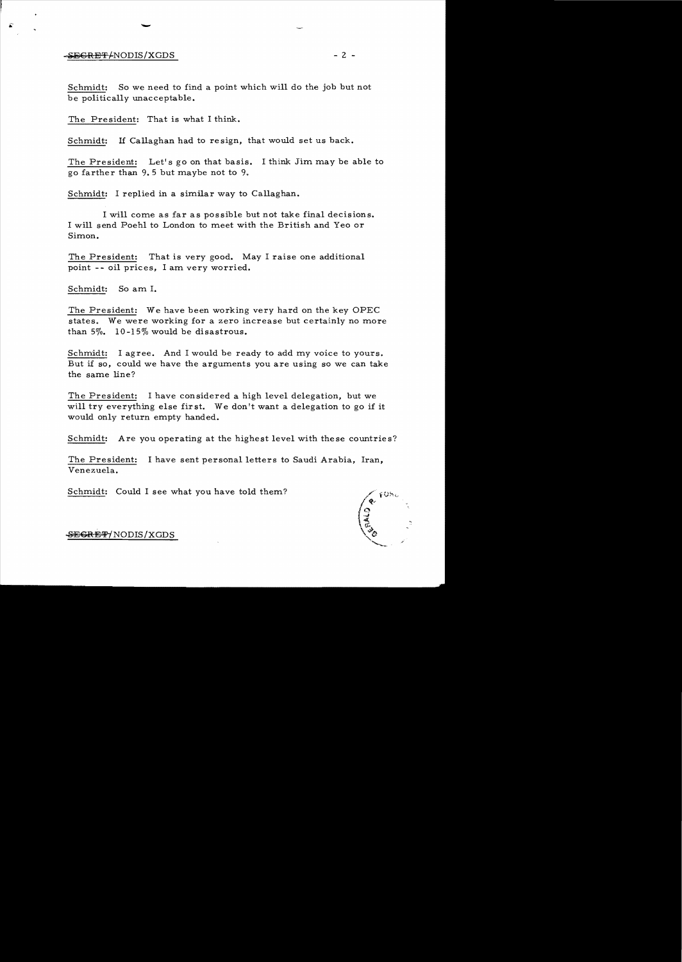## $-$ SEGRET/NODIS/XGDS  $-$  2  $-$

Schmidt: So we need to find a point which will do the job but not be politically unacceptable.

The President: That is what I think.

-

Schmidt: If Callaghan had to resign, that would set us back.

The President: Let's go on that basis. I think Jim may be able to go farther than 9.5 but maybe not to 9.

Schmidt: I replied in a similar way to Callaghan.

I will come as far as possible but not take final decisions. I will send Poehl to London to meet with the British and Yeo or Simon.

The President: That is very good. May I raise one additional point -- oil prices, I am very worried.

Schmidt: So am I.

The President: We have been working very hard on the key OPEC states. We were working for a zero increase but certainly no more than 5%. 10-15% would be disastrous.

Schmidt: I agree. And I would be ready to add my voice to yours. But if so, could we have the arguments you are using so we can take the same line?

The President: I have considered a high level delegation, but we will try everything else fir st. We don't want a delegation to go if it would only return empty handed.

Schmidt: Are you operating at the highest level with these countries?

The President: I have sent personal letters to Saudi Arabia, Iran, Venezuela.

Schmidt: Could I see what you have told them?



SEGRET/NODIS/XGDS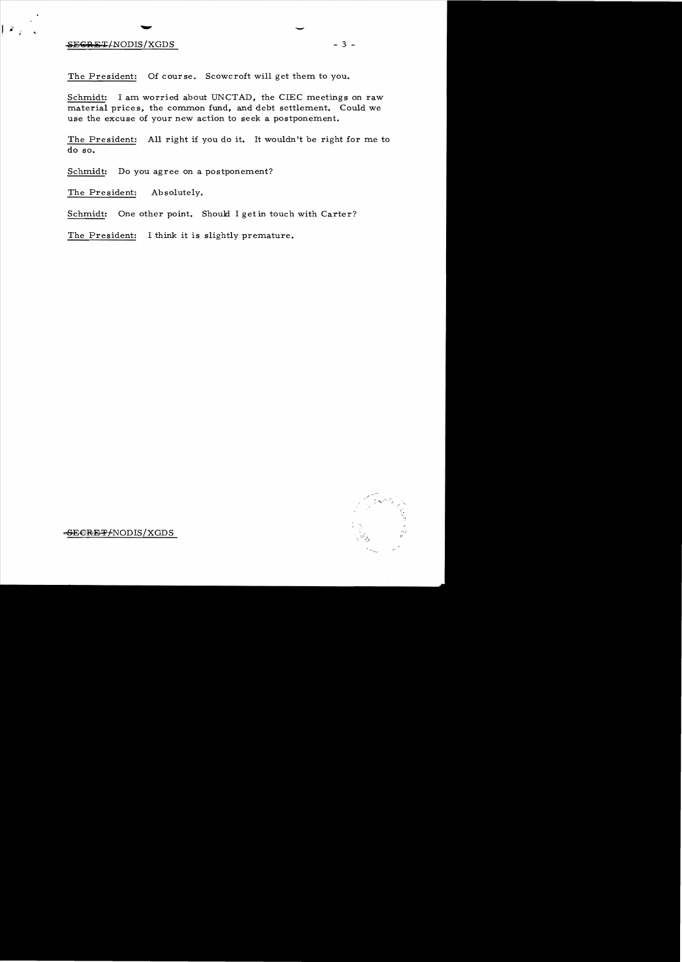## .- ; ..  $-3 -$

The President: Of course. Scowcroft will get them to you.

Schmidt: I am worried about UNCTAD, the CIEC meetings on raw material prices, the common fund, and debt settlement. Could we use the excuse of your new action to seek a postponement.

The President: All right if you do **it.** It wouldn't be right for me to do so.

Schmidt: Do you agree on a postponement?

The President: Absolutely.

Schmidt: One other point. Should I get in touch with Carter?

The President: I think it is slightly premature.

-SECRET/NODIS/XGDS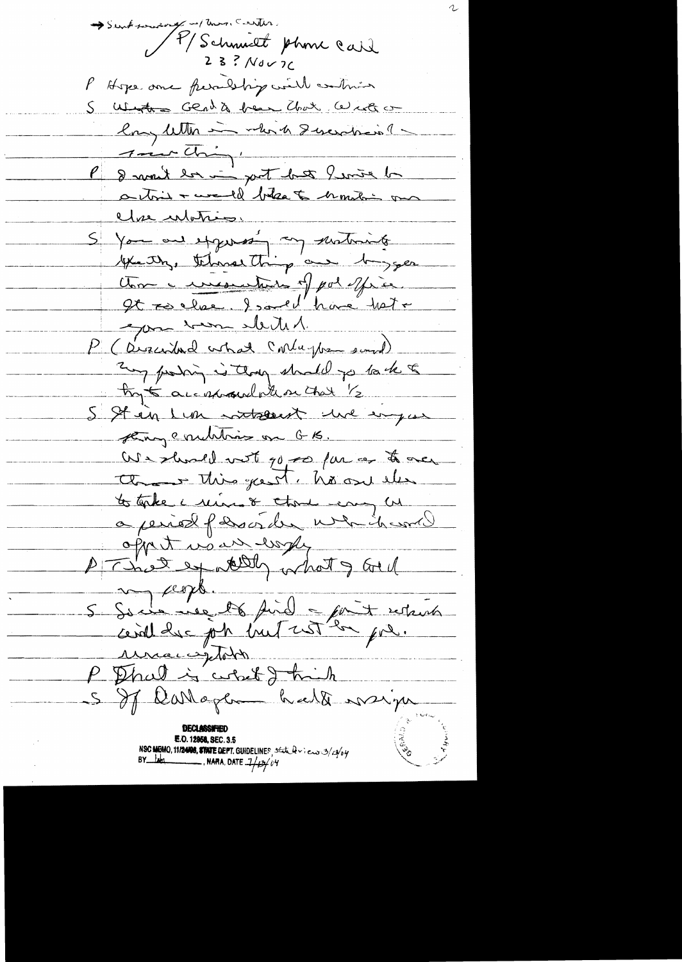Sent sousage - ( Unis, Cartha. P/Schmit phone card P Hope are permising will contrios S Wister Glad à beau Clock Will or long With in this describion 1 P & mont en inget but beste land actris - would below to himitain ma S You and experts any sentiments year, throat thing are bygan Com a mesurar of pol office It reclae, I sould'have hat -P (Discribed what Colleges said) Eny producing is though should go to the to try to accordinate on that 1/2 S St in Lun vitalent une empare pary combination of K. We should not go so far a to once the or this gent. how the to take a reinest theme every a a period plans de mendered 5 Sous me le find = font retrich  $\rightarrow$ P Dhall is what I hich<br>S If Darlogen halt weige **E.O. 12950, SEC. 3.5**<br>NSC MEMO, 11/24006, STATE DEPT. GUIDELINES, State by: en 3/13/04<br>BY Let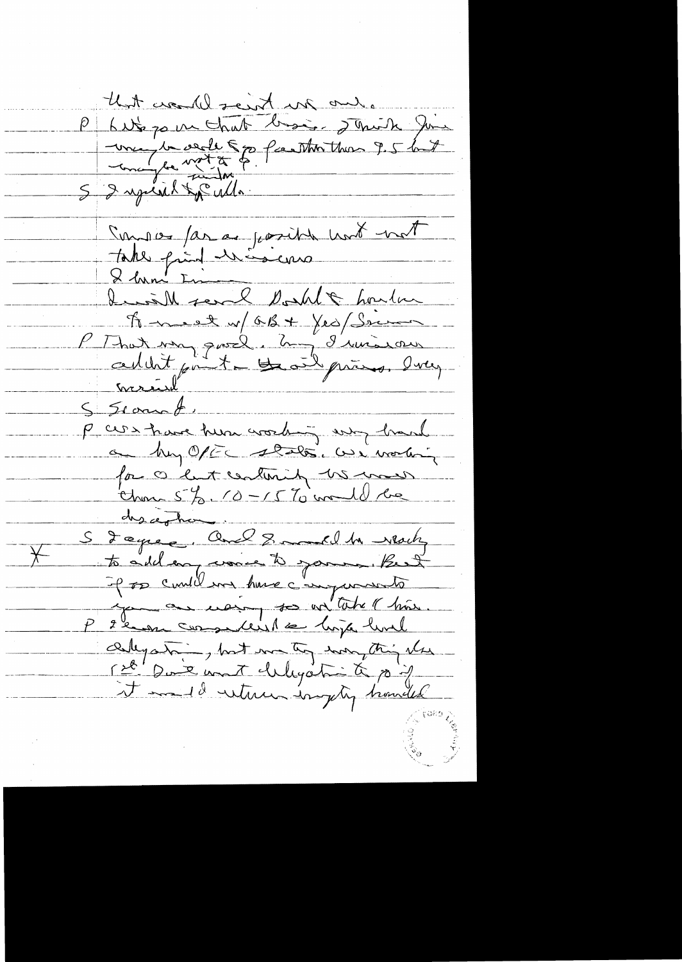that was Wreight we only Suiva /ar as pasible und not Inside send Double houten Ament u/ GB+ Yes/Secret-PT tot me good, 2 9 minson P costare hum working un hand a huy Optic states, we working for 0 let contenity the main to add any women to spanner, thent IP op could me have c'emponents P 2e en consultat din line. cellyatin, but me top monthis else it madde where ingety handed